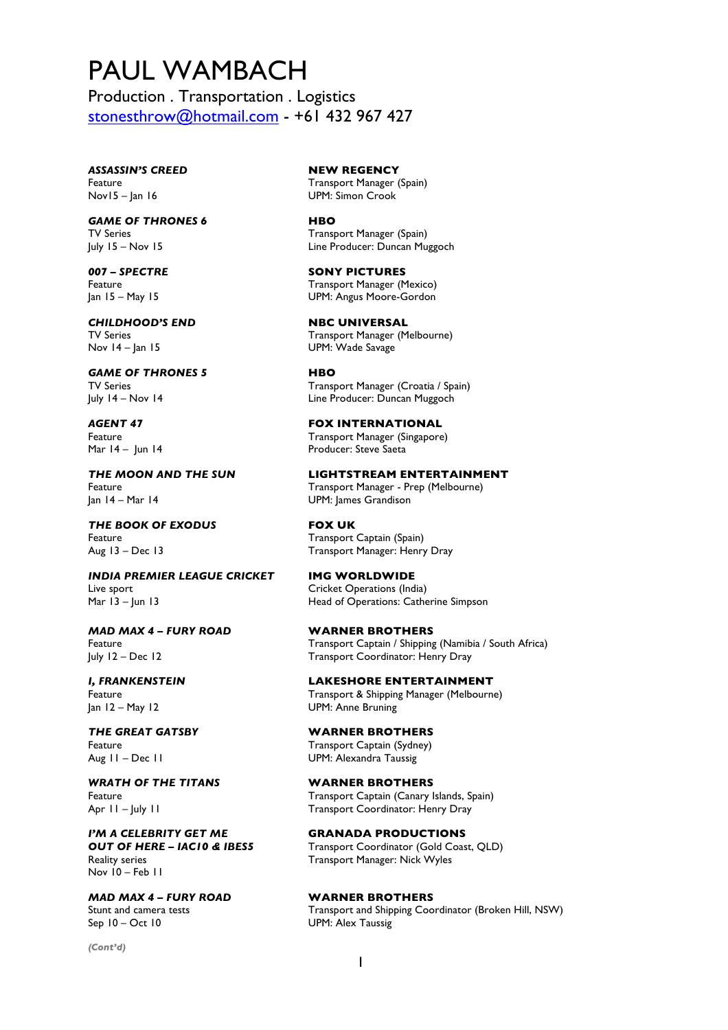## PAUL WAMBACH

Production . Transportation . Logistics stonesthrow@hotmail.com - +61 432 967 427

*ASSASSIN'S CREED* **NEW REGENCY** Nov15 – Jan 16 UPM: Simon Crook

*GAME OF THRONES 6* **HBO**

*CHILDHOOD'S END* **NBC UNIVERSAL** Nov 14 – Jan 15 UPM: Wade Savage

*GAME OF THRONES 5* **HBO**

*THE BOOK OF EXODUS* **FOX UK** Feature **Transport Captain (Spain) Transport Captain (Spain)** 

*INDIA PREMIER LEAGUE CRICKET* **IMG WORLDWIDE** Live sport Cricket Operations (India) Mar 13 – Jun 13 **Mar 13 – Jun 13** Head of Operations: Catherine Simpson

*MAD MAX 4 – FURY ROAD* **WARNER BROTHERS**

Jan 12 – May 12 UPM: Anne Bruning

*WRATH OF THE TITANS* **WARNER BROTHERS**

*I'M A CELEBRITY GET ME* **GRANADA PRODUCTIONS**<br>**OUT OF HERE – IACIO & IBESS Transport Coordinator (Gold Coas** Reality series Transport Manager: Nick Wyles Nov 10 – Feb 11

*MAD MAX 4 – FURY ROAD* **WARNER BROTHERS** Sep 10 – Oct 10 UPM: Alex Taussig

*(Cont'd)*

Feature **Transport Manager (Spain)** 

TV Series Transport Manager (Spain) July 15 – Nov 15 Line Producer: Duncan Muggoch

*007 – SPECTRE* **SONY PICTURES** Feature **Transport Manager** (Mexico) Jan 15 – May 15 UPM: Angus Moore-Gordon

TV Series TV Series Transport Manager (Melbourne)

TV Series Transport Manager (Croatia / Spain)<br>
1998 July 14 – Nov 14 (Transport Manager Croatia / Spain) Line Producer: Duncan Muggoch

*AGENT 47* **FOX INTERNATIONAL** Feature **Transport Manager (Singapore)** Mar 14 – Jun 14 **Producer:** Steve Saeta

*THE MOON AND THE SUN* **LIGHTSTREAM ENTERTAINMENT** Feature Transport Manager - Prep (Melbourne)<br>Jan 14 – Mar 14 – Transport Manager - Prep (Melbourne) UPM: James Grandison

Aug 13 – Dec 13 Transport Manager: Henry Dray

Feature Transport Captain / Shipping (Namibia / South Africa) July 12 – Dec 12 Transport Coordinator: Henry Dray

*I, FRANKENSTEIN* **LAKESHORE ENTERTAINMENT** Feature **Transport & Shipping Manager (Melbourne)** 

*THE GREAT GATSBY* **WARNER BROTHERS**  Feature **Transport Captain (Sydney)** Aug 11 – Dec 11 UPM: Alexandra Taussig

Feature Transport Captain (Canary Islands, Spain) Apr 11 – July 11 **Fransport Coordinator: Henry Dray** 

**Transport Coordinator (Gold Coast, QLD)** 

Stunt and camera tests Transport and Shipping Coordinator (Broken Hill, NSW)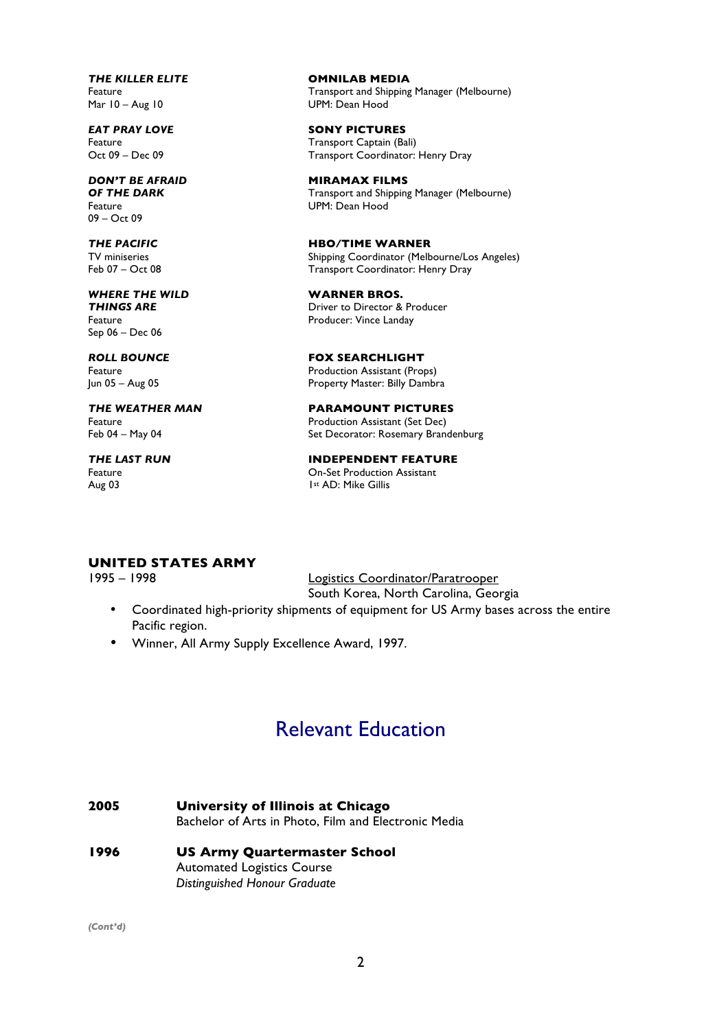*THE KILLER ELITE* **OMNILAB MEDIA**

09 – Oct 09

Sep 06 – Dec 06

Aug 03 1st AD: Mike Gillis

Feature Transport and Shipping Manager (Melbourne) UPM: Dean Hood

**EAT PRAY LOVE SONY PICTURES**<br> **E**eature **Example:** Transport Captain (Ba Feature **Feature 19 Feature 19 Feature 19 Feature 19 Feature 19 Feature 19 Feature 19 Feature 19 Feature 19 Fe**<br> **Fransport Coordinator:** Transport Coordinator: Henry Dray

**DON'T BE AFRAID <b>MIRAMAX FILMS**<br>**OF THE DARK CONSUMITY CONSUMITY Transport and Shipping OF THE DARK** Transport and Shipping Manager (Melbourne)<br>
Feature The UPM: Dean Hood UPM: Dean Hood

*THE PACIFIC* **HBO/TIME WARNER** TV miniseries Shipping Coordinator (Melbourne/Los Angeles) Feb 07 – Oct 08 Transport Coordinator: Henry Dray

**WHERE THE WILD WARNER BROS.**<br>**THINGS ARE WARNER BROS. Driver to Director & Producer** Feature **Producer:** Vince Landay

*ROLL BOUNCE* **FOX SEARCHLIGHT** Feature Production Assistant (Props)<br>
1995 | Jun 05 - Aug 05 | Property Master: Billy Dambr Property Master: Billy Dambra

*THE WEATHER MAN* **PARAMOUNT PICTURES** Feature Feature Production Assistant (Set Dec)<br>Feb 04 – May 04 The Production Set Decorator: Rosemary Branch Set Decorator: Rosemary Brandenburg

*THE LAST RUN* **INDEPENDENT FEATURE** Feature On-Set Production Assistant

**UNITED STATES ARMY**

1995 – 1998 Logistics Coordinator/Paratrooper South Korea, North Carolina, Georgia

- Coordinated high-priority shipments of equipment for US Army bases across the entire Pacific region.
- Winner, All Army Supply Excellence Award, 1997.

## Relevant Education

- **2005 University of Illinois at Chicago** Bachelor of Arts in Photo, Film and Electronic Media
- **1996 US Army Quartermaster School** Automated Logistics Course *Distinguished Honour Graduate*

*(Cont'd)*